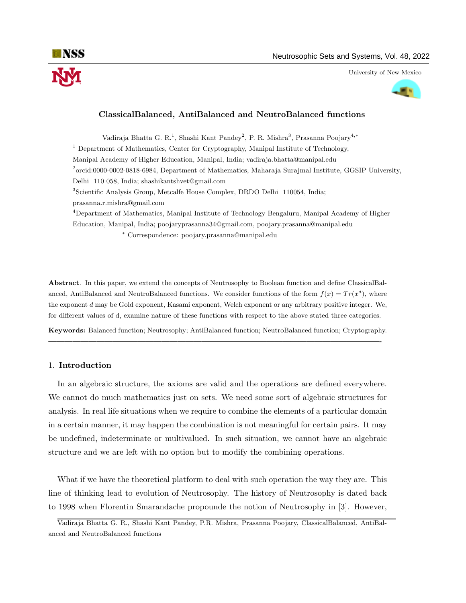



## ClassicalBalanced, AntiBalanced and NeutroBalanced functions

Vadiraja Bhatta G. R.<sup>1</sup>, Shashi Kant Pandey<sup>2</sup>, P. R. Mishra<sup>3</sup>, Prasanna Poojary<sup>4,\*</sup> <sup>1</sup> Department of Mathematics, Center for Cryptography, Manipal Institute of Technology, Manipal Academy of Higher Education, Manipal, India; vadiraja.bhatta@manipal.edu 2 orcid:0000-0002-0818-6984, Department of Mathematics, Maharaja Surajmal Institute, GGSIP University, Delhi 110 058, India; shashikantshvet@gmail.com <sup>3</sup>Scientific Analysis Group, Metcalfe House Complex, DRDO Delhi 110054, India; prasanna.r.mishra@gmail.com <sup>4</sup>Department of Mathematics, Manipal Institute of Technology Bengaluru, Manipal Academy of Higher Education, Manipal, India; poojaryprasanna34@gmail.com, poojary.prasanna@manipal.edu

<sup>∗</sup> Correspondence: poojary.prasanna@manipal.edu

Abstract. In this paper, we extend the concepts of Neutrosophy to Boolean function and define ClassicalBalanced, AntiBalanced and NeutroBalanced functions. We consider functions of the form  $f(x) = Tr(x^d)$ , where the exponent d may be Gold exponent, Kasami exponent, Welch exponent or any arbitrary positive integer. We, for different values of d, examine nature of these functions with respect to the above stated three categories.

Keywords: Balanced function; Neutrosophy; AntiBalanced function; NeutroBalanced function; Cryptography. —————————————————————————————————————————-

## 1. Introduction

In an algebraic structure, the axioms are valid and the operations are defined everywhere. We cannot do much mathematics just on sets. We need some sort of algebraic structures for analysis. In real life situations when we require to combine the elements of a particular domain in a certain manner, it may happen the combination is not meaningful for certain pairs. It may be undefined, indeterminate or multivalued. In such situation, we cannot have an algebraic structure and we are left with no option but to modify the combining operations.

What if we have the theoretical platform to deal with such operation the way they are. This line of thinking lead to evolution of Neutrosophy. The history of Neutrosophy is dated back to 1998 when Florentin Smarandache propounde the notion of Neutrosophy in [3]. However,

Vadiraja Bhatta G. R., Shashi Kant Pandey, P.R. Mishra, Prasanna Poojary, ClassicalBalanced, AntiBalanced and NeutroBalanced functions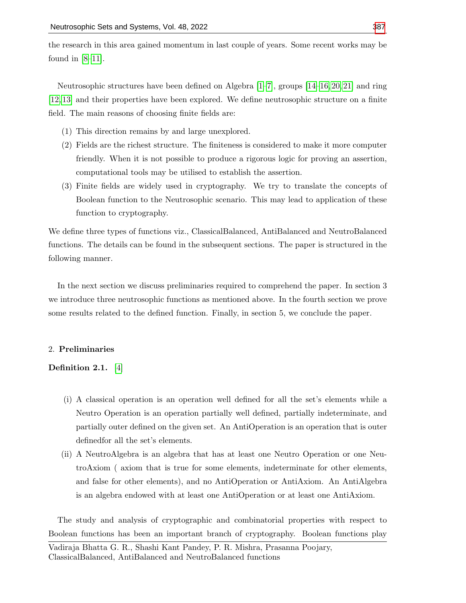the research in this area gained momentum in last couple of years. Some recent works may be found in  $[8-11]$  $[8-11]$ .

Neutrosophic structures have been defined on Algebra  $[1–7]$  $[1–7]$ , groups  $[14–16, 20, 21]$  $[14–16, 20, 21]$  $[14–16, 20, 21]$  $[14–16, 20, 21]$  and ring [\[12,](#page-11-6) [13\]](#page-11-7) and their properties have been explored. We define neutrosophic structure on a finite field. The main reasons of choosing finite fields are:

- (1) This direction remains by and large unexplored.
- (2) Fields are the richest structure. The finiteness is considered to make it more computer friendly. When it is not possible to produce a rigorous logic for proving an assertion, computational tools may be utilised to establish the assertion.
- (3) Finite fields are widely used in cryptography. We try to translate the concepts of Boolean function to the Neutrosophic scenario. This may lead to application of these function to cryptography.

We define three types of functions viz., ClassicalBalanced, AntiBalanced and NeutroBalanced functions. The details can be found in the subsequent sections. The paper is structured in the following manner.

In the next section we discuss preliminaries required to comprehend the paper. In section 3 we introduce three neutrosophic functions as mentioned above. In the fourth section we prove some results related to the defined function. Finally, in section 5, we conclude the paper.

#### 2. Preliminaries

# Definition 2.1. [\[4\]](#page-11-8)

- (i) A classical operation is an operation well defined for all the set's elements while a Neutro Operation is an operation partially well defined, partially indeterminate, and partially outer defined on the given set. An AntiOperation is an operation that is outer definedfor all the set's elements.
- (ii) A NeutroAlgebra is an algebra that has at least one Neutro Operation or one NeutroAxiom ( axiom that is true for some elements, indeterminate for other elements, and false for other elements), and no AntiOperation or AntiAxiom. An AntiAlgebra is an algebra endowed with at least one AntiOperation or at least one AntiAxiom.

The study and analysis of cryptographic and combinatorial properties with respect to Boolean functions has been an important branch of cryptography. Boolean functions play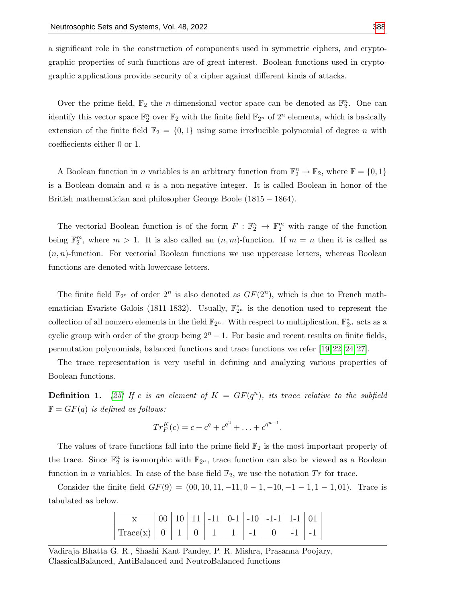a significant role in the construction of components used in symmetric ciphers, and cryptographic properties of such functions are of great interest. Boolean functions used in cryptographic applications provide security of a cipher against different kinds of attacks.

Over the prime field,  $\mathbb{F}_2$  the *n*-dimensional vector space can be denoted as  $\mathbb{F}_2^n$ . One can identify this vector space  $\mathbb{F}_2^n$  over  $\mathbb{F}_2$  with the finite field  $\mathbb{F}_{2^n}$  of  $2^n$  elements, which is basically extension of the finite field  $\mathbb{F}_2 = \{0,1\}$  using some irreducible polynomial of degree n with coeffiecients either 0 or 1.

A Boolean function in *n* variables is an arbitrary function from  $\mathbb{F}_2^n \to \mathbb{F}_2$ , where  $\mathbb{F} = \{0, 1\}$ is a Boolean domain and  $n$  is a non-negative integer. It is called Boolean in honor of the British mathematician and philosopher George Boole (1815 − 1864).

The vectorial Boolean function is of the form  $F : \mathbb{F}_2^n \to \mathbb{F}_2^m$  with range of the function being  $\mathbb{F}_2^m$ , where  $m > 1$ . It is also called an  $(n, m)$ -function. If  $m = n$  then it is called as  $(n, n)$ -function. For vectorial Boolean functions we use uppercase letters, whereas Boolean functions are denoted with lowercase letters.

The finite field  $\mathbb{F}_{2^n}$  of order  $2^n$  is also denoted as  $GF(2^n)$ , which is due to French mathematician Evariste Galois (1811-1832). Usually,  $\mathbb{F}_{2^n}^*$  is the denotion used to represent the collection of all nonzero elements in the field  $\mathbb{F}_{2^n}$ . With respect to multiplication,  $\mathbb{F}_{2^n}^*$  acts as a cyclic group with order of the group being  $2<sup>n</sup> - 1$ . For basic and recent results on finite fields, permutation polynomials, balanced functions and trace functions we refer [\[19,](#page-12-3) [22–](#page-12-4)[24,](#page-12-5) [27\]](#page-12-6).

The trace representation is very useful in defining and analyzing various properties of Boolean functions.

**Definition 1.** [\[25\]](#page-12-7) If c is an element of  $K = GF(q^n)$ , its trace relative to the subfield  $\mathbb{F} = GF(q)$  is defined as follows:

$$
Tr_F^K(c) = c + c^q + c^{q^2} + \ldots + c^{q^{n-1}}.
$$

The values of trace functions fall into the prime field  $\mathbb{F}_2$  is the most important property of the trace. Since  $\mathbb{F}_2^n$  is isomorphic with  $\mathbb{F}_{2^n}$ , trace function can also be viewed as a Boolean function in *n* variables. In case of the base field  $\mathbb{F}_2$ , we use the notation Tr for trace.

Consider the finite field  $GF(9) = (00, 10, 11, -11, 0 - 1, -10, -1 - 1, 1 - 1, 01)$ . Trace is tabulated as below.

|                  |  |  |  | 00   10   11   -11   0-1   -10   -1-1   1-1   01 |           |  |
|------------------|--|--|--|--------------------------------------------------|-----------|--|
| Trace(x)   0   1 |  |  |  |                                                  | $-1$ $-1$ |  |

Vadiraja Bhatta G. R., Shashi Kant Pandey, P. R. Mishra, Prasanna Poojary, ClassicalBalanced, AntiBalanced and NeutroBalanced functions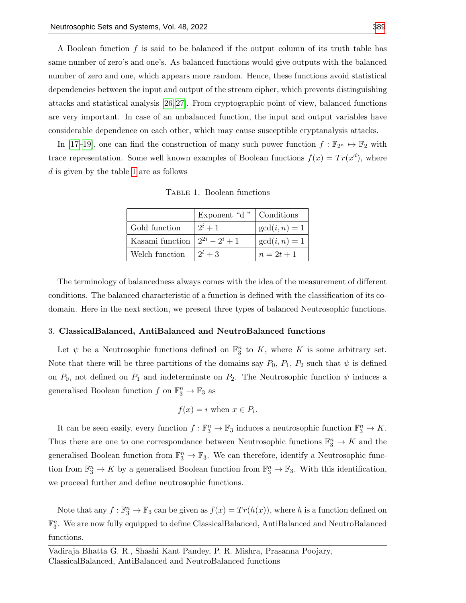A Boolean function  $f$  is said to be balanced if the output column of its truth table has same number of zero's and one's. As balanced functions would give outputs with the balanced number of zero and one, which appears more random. Hence, these functions avoid statistical dependencies between the input and output of the stream cipher, which prevents distinguishing attacks and statistical analysis [\[26,](#page-12-8) [27\]](#page-12-6). From cryptographic point of view, balanced functions are very important. In case of an unbalanced function, the input and output variables have considerable dependence on each other, which may cause susceptible cryptanalysis attacks.

<span id="page-3-0"></span>In [\[17–](#page-11-9)[19\]](#page-12-3), one can find the construction of many such power function  $f : \mathbb{F}_{2^n} \to \mathbb{F}_2$  with trace representation. Some well known examples of Boolean functions  $f(x) = Tr(x^d)$ , where d is given by the table [1](#page-3-0) are as follows

Table 1. Boolean functions

|                                      | Exponent "d" $\vert$ Conditions |                 |
|--------------------------------------|---------------------------------|-----------------|
| Gold function                        | $2^{i}+1$                       | $gcd(i, n) = 1$ |
| Kasami function $ 2^{2i} - 2^i + 1 $ |                                 | $gcd(i, n) = 1$ |
| Welch function                       | $2^t + 3$                       | $n = 2t + 1$    |

The terminology of balancedness always comes with the idea of the measurement of different conditions. The balanced characteristic of a function is defined with the classification of its codomain. Here in the next section, we present three types of balanced Neutrosophic functions.

#### 3. ClassicalBalanced, AntiBalanced and NeutroBalanced functions

Let  $\psi$  be a Neutrosophic functions defined on  $\mathbb{F}_3^n$  to K, where K is some arbitrary set. Note that there will be three partitions of the domains say  $P_0$ ,  $P_1$ ,  $P_2$  such that  $\psi$  is defined on  $P_0$ , not defined on  $P_1$  and indeterminate on  $P_2$ . The Neutrosophic function  $\psi$  induces a generalised Boolean function  $f$  on  $\mathbb{F}_3^n \to \mathbb{F}_3$  as

$$
f(x) = i \text{ when } x \in P_i.
$$

It can be seen easily, every function  $f : \mathbb{F}_3^n \to \mathbb{F}_3$  induces a neutrosophic function  $\mathbb{F}_3^n \to K$ . Thus there are one to one correspondance between Neutrosophic functions  $\mathbb{F}_3^n \to K$  and the generalised Boolean function from  $\mathbb{F}_3^n \to \mathbb{F}_3$ . We can therefore, identify a Neutrosophic function from  $\mathbb{F}_3^n \to K$  by a generalised Boolean function from  $\mathbb{F}_3^n \to \mathbb{F}_3$ . With this identification, we proceed further and define neutrosophic functions.

Note that any  $f: \mathbb{F}_3^n \to \mathbb{F}_3$  can be given as  $f(x) = Tr(h(x))$ , where h is a function defined on  $\mathbb{F}_3^n$ . We are now fully equipped to define ClassicalBalanced, AntiBalanced and NeutroBalanced functions.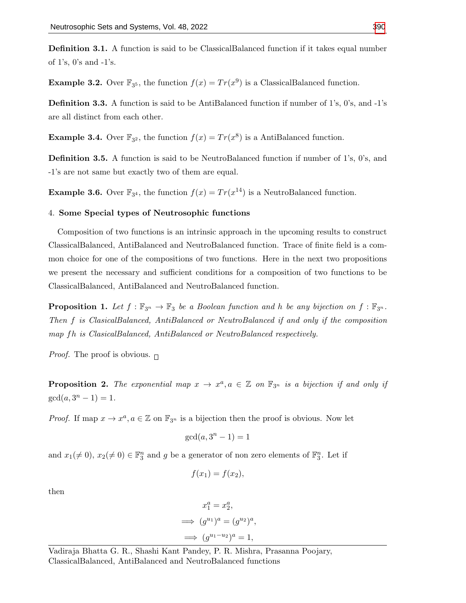Definition 3.1. A function is said to be ClassicalBalanced function if it takes equal number of 1's, 0's and -1's.

**Example 3.2.** Over  $\mathbb{F}_{3^5}$ , the function  $f(x) = Tr(x^9)$  is a ClassicalBalanced function.

Definition 3.3. A function is said to be AntiBalanced function if number of 1's, 0's, and -1's are all distinct from each other.

**Example 3.4.** Over  $\mathbb{F}_{3^2}$ , the function  $f(x) = Tr(x^8)$  is a AntiBalanced function.

Definition 3.5. A function is said to be NeutroBalanced function if number of 1's, 0's, and -1's are not same but exactly two of them are equal.

**Example 3.6.** Over  $\mathbb{F}_{3^4}$ , the function  $f(x) = Tr(x^{14})$  is a NeutroBalanced function.

## 4. Some Special types of Neutrosophic functions

Composition of two functions is an intrinsic approach in the upcoming results to construct ClassicalBalanced, AntiBalanced and NeutroBalanced function. Trace of finite field is a common choice for one of the compositions of two functions. Here in the next two propositions we present the necessary and sufficient conditions for a composition of two functions to be ClassicalBalanced, AntiBalanced and NeutroBalanced function.

<span id="page-4-1"></span>**Proposition 1.** Let  $f : \mathbb{F}_{3^n} \to \mathbb{F}_3$  be a Boolean function and h be any bijection on  $f : \mathbb{F}_{3^n}$ . Then f is ClasicalBalanced, AntiBalanced or NeutroBalanced if and only if the composition map fh is ClasicalBalanced, AntiBalanced or NeutroBalanced respectively.

*Proof.* The proof is obvious.  $\Box$ 

<span id="page-4-0"></span>**Proposition 2.** The exponential map  $x \to x^a, a \in \mathbb{Z}$  on  $\mathbb{F}_{3^n}$  is a bijection if and only if  $gcd(a, 3<sup>n</sup> - 1) = 1.$ 

*Proof.* If map  $x \to x^a, a \in \mathbb{Z}$  on  $\mathbb{F}_{3^n}$  is a bijection then the proof is obvious. Now let

$$
\gcd(a, 3^n - 1) = 1
$$

and  $x_1(\neq 0)$ ,  $x_2(\neq 0) \in \mathbb{F}_3^n$  and g be a generator of non zero elements of  $\mathbb{F}_3^n$ . Let if

$$
f(x_1) = f(x_2),
$$

then

$$
x_1^a = x_2^a,
$$
  
\n
$$
\implies (g^{u_1})^a = (g^{u_2})^a,
$$
  
\n
$$
\implies (g^{u_1 - u_2})^a = 1,
$$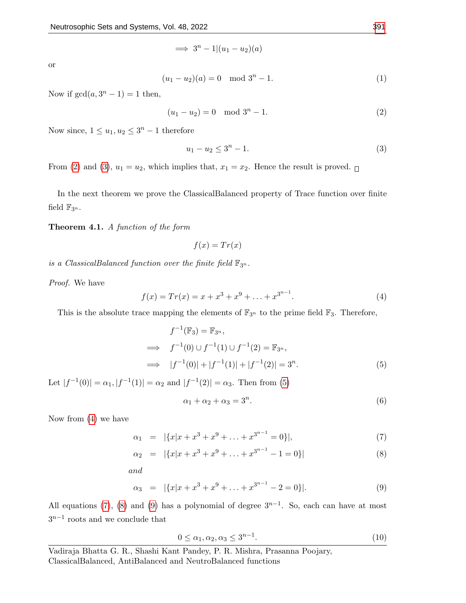$\implies 3^n - 1|(u_1 - u_2)(a)$ 

or

$$
(u_1 - u_2)(a) = 0 \mod 3^n - 1.
$$
 (1)

Now if  $gcd(a, 3<sup>n</sup> - 1) = 1$  then,

<span id="page-5-0"></span>
$$
(u_1 - u_2) = 0 \mod 3^n - 1.
$$
 (2)

Now since,  $1 \le u_1, u_2 \le 3^n - 1$  therefore

<span id="page-5-1"></span>
$$
u_1 - u_2 \le 3^n - 1. \tag{3}
$$

From [\(2\)](#page-5-0) and [\(3\)](#page-5-1),  $u_1 = u_2$ , which implies that,  $x_1 = x_2$ . Hence the result is proved.

In the next theorem we prove the ClassicalBalanced property of Trace function over finite field  $\mathbb{F}_{3^n}$ .

<span id="page-5-7"></span>Theorem 4.1. A function of the form

 $f(x) = Tr(x)$ 

is a ClassicalBalanced function over the finite field  $\mathbb{F}_{3^n}$ .

=⇒ f

=⇒ |f

Proof. We have

<span id="page-5-3"></span>
$$
f(x) = Tr(x) = x + x3 + x9 + ... + x3n-1.
$$
 (4)

This is the absolute trace mapping the elements of  $\mathbb{F}_{3^n}$  to the prime field  $\mathbb{F}_3$ . Therefore,

<span id="page-5-2"></span>
$$
f^{-1}(\mathbb{F}_3) = \mathbb{F}_{3^n},
$$
  
\n
$$
\Rightarrow f^{-1}(0) \cup f^{-1}(1) \cup f^{-1}(2) = \mathbb{F}_{3^n},
$$
  
\n
$$
\Rightarrow |f^{-1}(0)| + |f^{-1}(1)| + |f^{-1}(2)| = 3^n.
$$
\n(5)

Let  $|f^{-1}(0)| = \alpha_1, |f^{-1}(1)| = \alpha_2$  and  $|f^{-1}(2)| = \alpha_3$ . Then from [\(5\)](#page-5-2)

<span id="page-5-5"></span>
$$
\alpha_1 + \alpha_2 + \alpha_3 = 3^n. \tag{6}
$$

Now from [\(4\)](#page-5-3) we have

<span id="page-5-4"></span>
$$
\alpha_1 = |\{x|x+x^3+x^9+\ldots+x^{3^{n-1}}=0\}|,\tag{7}
$$

$$
\alpha_2 = |\{x|x+x^3+x^9+\ldots+x^{3^{n-1}}-1=0\}| \tag{8}
$$

$$
and
$$

$$
\alpha_3 = |\{x|x+x^3+x^9+\ldots+x^{3^{n-1}}-2=0\}|. \tag{9}
$$

All equations [\(7\)](#page-5-4), [\(8\)](#page-5-4) and [\(9\)](#page-5-4) has a polynomial of degree  $3^{n-1}$ . So, each can have at most  $3^{n-1}$  roots and we conclude that

<span id="page-5-6"></span>
$$
0 \le \alpha_1, \alpha_2, \alpha_3 \le 3^{n-1}.
$$
\n(10)

Vadiraja Bhatta G. R., Shashi Kant Pandey, P. R. Mishra, Prasanna Poojary, ClassicalBalanced, AntiBalanced and NeutroBalanced functions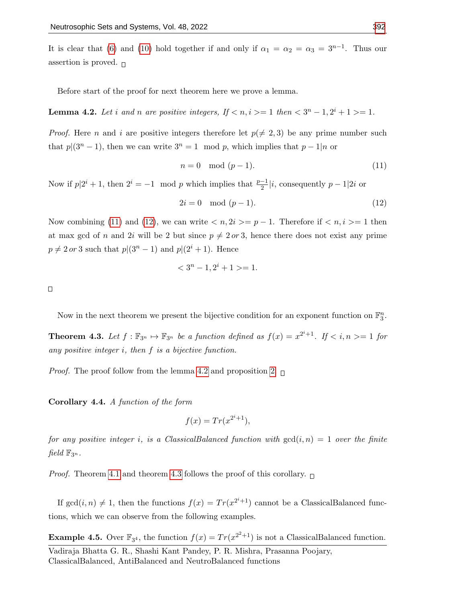It is clear that [\(6\)](#page-5-5) and [\(10\)](#page-5-6) hold together if and only if  $\alpha_1 = \alpha_2 = \alpha_3 = 3^{n-1}$ . Thus our assertion is proved.  $\Box$ 

Before start of the proof for next theorem here we prove a lemma.

<span id="page-6-2"></span>**Lemma 4.2.** Let i and n are positive integers, If  $\langle n, i \rangle = 1$  then  $\langle 3^n - 1, 2^i + 1 \rangle = 1$ .

*Proof.* Here *n* and *i* are positive integers therefore let  $p(\neq 2, 3)$  be any prime number such that  $p|(3^n-1)$ , then we can write  $3^n = 1 \mod p$ , which implies that  $p-1|n$  or

<span id="page-6-0"></span>
$$
n = 0 \mod (p-1). \tag{11}
$$

Now if  $p|2^i + 1$ , then  $2^i = -1 \mod p$  which implies that  $\frac{p-1}{2}|i$ , consequently  $p-1|2i$  or

<span id="page-6-1"></span>
$$
2i = 0 \mod (p-1). \tag{12}
$$

Now combining [\(11\)](#page-6-0) and [\(12\)](#page-6-1), we can write  $\langle n, 2i \rangle = p - 1$ . Therefore if  $\langle n, i \rangle = 1$  then at max gcd of n and 2i will be 2 but since  $p \neq 2 \text{ or } 3$ , hence there does not exist any prime  $p \neq 2 \text{ or } 3$  such that  $p|(3^n-1)$  and  $p|(2^i+1)$ . Hence

$$
<3n-1, 2i+1> = 1.
$$

 $\Box$ 

Now in the next theorem we present the bijective condition for an exponent function on  $\mathbb{F}_3^n$ .

<span id="page-6-3"></span>**Theorem 4.3.** Let  $f : \mathbb{F}_{3^n} \to \mathbb{F}_{3^n}$  be a function defined as  $f(x) = x^{2^i+1}$ . If  $\lt i, n \gt = 1$  for any positive integer i, then f is a bijective function.

*Proof.* The proof follow from the lemma [4.2](#page-6-2) and proposition [2.](#page-4-0)  $\Box$ 

Corollary 4.4. A function of the form

$$
f(x) = Tr(x^{2^i+1}),
$$

for any positive integer i, is a ClassicalBalanced function with  $gcd(i, n) = 1$  over the finite field  $\mathbb{F}_{3^n}$ .

*Proof.* Theorem [4.1](#page-5-7) and theorem [4.3](#page-6-3) follows the proof of this corollary.  $\Box$ 

If  $gcd(i, n) \neq 1$ , then the functions  $f(x) = Tr(x^{2^{i}+1})$  cannot be a ClassicalBalanced functions, which we can observe from the following examples.

**Example 4.5.** Over  $\mathbb{F}_{3^4}$ , the function  $f(x) = Tr(x^{2^2+1})$  is not a ClassicalBalanced function.

Vadiraja Bhatta G. R., Shashi Kant Pandey, P. R. Mishra, Prasanna Poojary, ClassicalBalanced, AntiBalanced and NeutroBalanced functions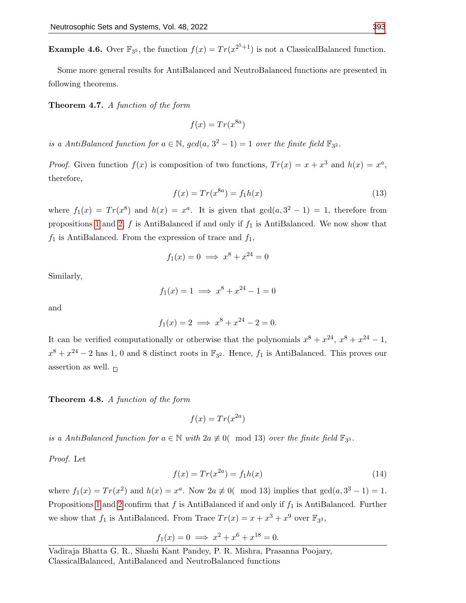**Example 4.6.** Over  $\mathbb{F}_{3^5}$ , the function  $f(x) = Tr(x^{2^5+1})$  is not a ClassicalBalanced function.

Some more general results for AntiBalanced and NeutroBalanced functions are presented in following theorems.

Theorem 4.7. A function of the form

$$
f(x) = Tr(x^{8a})
$$

is a AntiBalanced function for  $a \in \mathbb{N}$ ,  $gcd(a, 3^2 - 1) = 1$  over the finite field  $\mathbb{F}_{3^2}$ .

*Proof.* Given function  $f(x)$  is composition of two functions,  $Tr(x) = x + x^3$  and  $h(x) = x^a$ , therefore,

$$
f(x) = Tr(x^{8a}) = f_1 h(x)
$$
\n(13)

where  $f_1(x) = Tr(x^8)$  and  $h(x) = x^a$ . It is given that  $gcd(a, 3^2 - 1) = 1$ , therefore from propositions [1](#page-4-1) and [2,](#page-4-0)  $f$  is AntiBalanced if and only if  $f_1$  is AntiBalanced. We now show that  $f_1$  is AntiBalanced. From the expression of trace and  $f_1$ ,

$$
f_1(x) = 0 \implies x^8 + x^{24} = 0
$$

Similarly,

$$
f_1(x) = 1 \implies x^8 + x^{24} - 1 = 0
$$

and

$$
f_1(x) = 2 \implies x^8 + x^{24} - 2 = 0.
$$

It can be verified computationally or otherwise that the polynomials  $x^8 + x^{24}$ ,  $x^8 + x^{24} - 1$ ,  $x^8 + x^{24} - 2$  has 1, 0 and 8 distinct roots in  $\mathbb{F}_{3^2}$ . Hence,  $f_1$  is AntiBalanced. This proves our assertion as well.  $\Box$ 

Theorem 4.8. A function of the form

$$
f(x) = Tr(x^{2a})
$$

is a AntiBalanced function for  $a \in \mathbb{N}$  with  $2a \not\equiv 0$  (mod 13) over the finite field  $\mathbb{F}_{3^3}$ .

Proof. Let

$$
f(x) = Tr(x^{2a}) = f_1 h(x)
$$
\n(14)

where  $f_1(x) = Tr(x^2)$  and  $h(x) = x^a$ . Now  $2a \not\equiv 0$  mod 13) implies that  $gcd(a, 3^3 - 1) = 1$ . Propositions [1](#page-4-1) and [2](#page-4-0) confirm that  $f$  is AntiBalanced if and only if  $f_1$  is AntiBalanced. Further we show that  $f_1$  is AntiBalanced. From Trace  $Tr(x) = x + x^3 + x^9$  over  $\mathbb{F}_{3^3}$ ,

$$
f_1(x) = 0 \implies x^2 + x^6 + x^{18} = 0.
$$

Vadiraja Bhatta G. R., Shashi Kant Pandey, P. R. Mishra, Prasanna Poojary, ClassicalBalanced, AntiBalanced and NeutroBalanced functions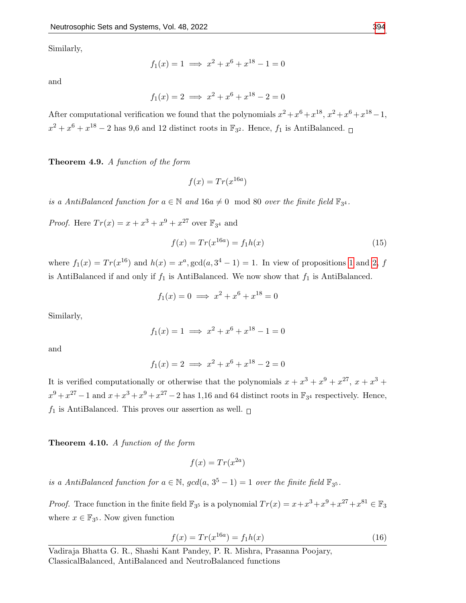Similarly,

$$
f_1(x) = 1 \implies x^2 + x^6 + x^{18} - 1 = 0
$$

and

$$
f_1(x) = 2 \implies x^2 + x^6 + x^{18} - 2 = 0
$$

After computational verification we found that the polynomials  $x^2 + x^6 + x^{18}$ ,  $x^2 + x^6 + x^{18} - 1$ ,  $x^2 + x^6 + x^{18} - 2$  has 9,6 and 12 distinct roots in  $\mathbb{F}_{3^2}$ . Hence,  $f_1$  is AntiBalanced.

Theorem 4.9. A function of the form

$$
f(x) = Tr(x^{16a})
$$

is a AntiBalanced function for  $a \in \mathbb{N}$  and  $16a \neq 0 \mod 80$  over the finite field  $\mathbb{F}_{3^4}$ .

*Proof.* Here  $Tr(x) = x + x^3 + x^9 + x^{27}$  over  $\mathbb{F}_{3^4}$  and

$$
f(x) = Tr(x^{16a}) = f_1h(x)
$$
\n(15)

where  $f_1(x) = Tr(x^{16})$  and  $h(x) = x^a$ ,  $gcd(a, 3^4 - 1) = 1$  $gcd(a, 3^4 - 1) = 1$  $gcd(a, 3^4 - 1) = 1$ . In view of propositions 1 and [2,](#page-4-0) f is AntiBalanced if and only if  $f_1$  is AntiBalanced. We now show that  $f_1$  is AntiBalanced.

$$
f_1(x) = 0 \implies x^2 + x^6 + x^{18} = 0
$$

Similarly,

$$
f_1(x) = 1 \implies x^2 + x^6 + x^{18} - 1 = 0
$$

and

$$
f_1(x) = 2 \implies x^2 + x^6 + x^{18} - 2 = 0
$$

It is verified computationally or otherwise that the polynomials  $x + x^3 + x^9 + x^{27}$ ,  $x + x^3 + x^4$  $x^9 + x^{27} - 1$  and  $x + x^3 + x^9 + x^{27} - 2$  has 1,16 and 64 distinct roots in  $\mathbb{F}_{3^4}$  respectively. Hence,  $f_1$  is AntiBalanced. This proves our assertion as well.  $\Box$ 

Theorem 4.10. A function of the form

$$
f(x) = Tr(x^{2a})
$$

is a AntiBalanced function for  $a \in \mathbb{N}$ ,  $gcd(a, 3^5 - 1) = 1$  over the finite field  $\mathbb{F}_{3^5}$ .

*Proof.* Trace function in the finite field  $\mathbb{F}_{3^5}$  is a polynomial  $Tr(x) = x + x^3 + x^9 + x^{27} + x^{81} \in \mathbb{F}_3$ where  $x \in \mathbb{F}_{3^5}$ . Now given function

$$
f(x) = Tr(x^{16a}) = f_1h(x)
$$
\n(16)

Vadiraja Bhatta G. R., Shashi Kant Pandey, P. R. Mishra, Prasanna Poojary, ClassicalBalanced, AntiBalanced and NeutroBalanced functions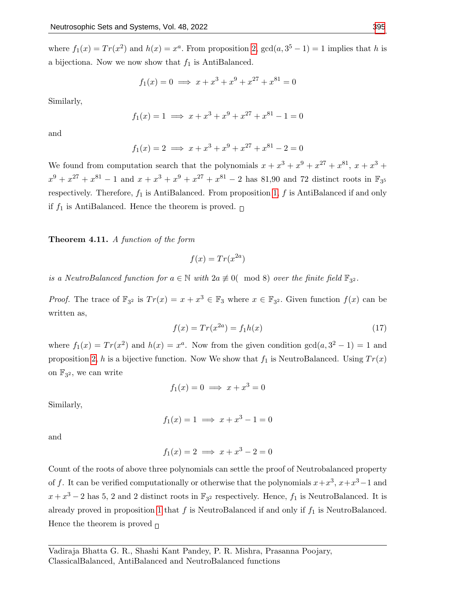$$
f_1(x) = 0 \implies x + x^3 + x^9 + x^{27} + x^{81} = 0
$$

Similarly,

$$
f_1(x) = 1 \implies x + x^3 + x^9 + x^{27} + x^{81} - 1 = 0
$$

and

$$
f_1(x) = 2 \implies x + x^3 + x^9 + x^{27} + x^{81} - 2 = 0
$$

We found from computation search that the polynomials  $x + x^3 + x^9 + x^{27} + x^{81}$ ,  $x + x^3 + x^{10}$  $x^9 + x^{27} + x^{81} - 1$  and  $x + x^3 + x^9 + x^{27} + x^{81} - 2$  has 81,90 and 72 distinct roots in  $\mathbb{F}_{3^5}$ respectively. Therefore,  $f_1$  is AntiBalanced. From proposition [1,](#page-4-1)  $f$  is AntiBalanced if and only if  $f_1$  is AntiBalanced. Hence the theorem is proved.  $\Box$ 

## Theorem 4.11. A function of the form

$$
f(x) = Tr(x^{2a})
$$

is a NeutroBalanced function for  $a \in \mathbb{N}$  with  $2a \not\equiv 0$  (mod 8) over the finite field  $\mathbb{F}_{3^2}$ .

*Proof.* The trace of  $\mathbb{F}_{3^2}$  is  $Tr(x) = x + x^3 \in \mathbb{F}_3$  where  $x \in \mathbb{F}_{3^2}$ . Given function  $f(x)$  can be written as,

$$
f(x) = Tr(x^{2a}) = f_1 h(x)
$$
 (17)

where  $f_1(x) = Tr(x^2)$  and  $h(x) = x^a$ . Now from the given condition  $gcd(a, 3^2 - 1) = 1$  and proposition [2,](#page-4-0) h is a bijective function. Now We show that  $f_1$  is NeutroBalanced. Using  $Tr(x)$ on  $\mathbb{F}_{3^2}$ , we can write

$$
f_1(x) = 0 \implies x + x^3 = 0
$$

Similarly,

$$
f_1(x) = 1 \implies x + x^3 - 1 = 0
$$

and

$$
f_1(x) = 2 \implies x + x^3 - 2 = 0
$$

Count of the roots of above three polynomials can settle the proof of Neutrobalanced property of f. It can be verified computationally or otherwise that the polynomials  $x + x^3$ ,  $x + x^3 - 1$  and  $x + x^3 - 2$  has 5, 2 and 2 distinct roots in  $\mathbb{F}_{3^2}$  respectively. Hence,  $f_1$  is NeutroBalanced. It is already proved in proposition [1](#page-4-1) that  $f$  is NeutroBalanced if and only if  $f_1$  is NeutroBalanced. Hence the theorem is proved  $\Box$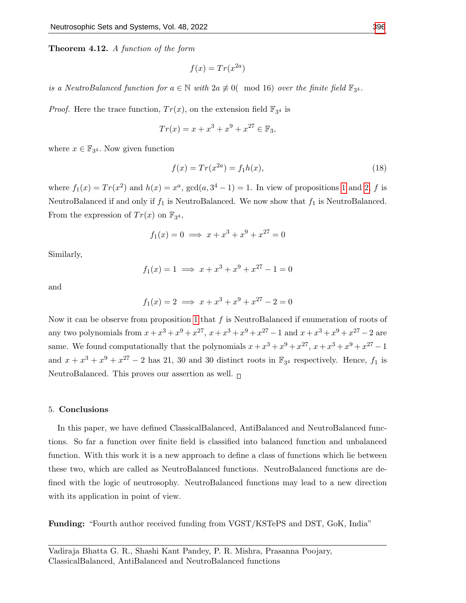Theorem 4.12. A function of the form

$$
f(x) = Tr(x^{2a})
$$

is a NeutroBalanced function for  $a \in \mathbb{N}$  with  $2a \not\equiv 0$  (mod 16) over the finite field  $\mathbb{F}_{3^4}$ .

*Proof.* Here the trace function,  $Tr(x)$ , on the extension field  $\mathbb{F}_{3^4}$  is

$$
Tr(x) = x + x^3 + x^9 + x^{27} \in \mathbb{F}_3,
$$

where  $x \in \mathbb{F}_{3^4}$ . Now given function

$$
f(x) = Tr(x^{2a}) = f_1h(x),
$$
\n(18)

where  $f_1(x) = Tr(x^2)$  and  $h(x) = x^a$ ,  $gcd(a, 3^4 - 1) = 1$  $gcd(a, 3^4 - 1) = 1$  $gcd(a, 3^4 - 1) = 1$ . In view of propositions 1 and [2,](#page-4-0) f is NeutroBalanced if and only if  $f_1$  is NeutroBalanced. We now show that  $f_1$  is NeutroBalanced. From the expression of  $Tr(x)$  on  $\mathbb{F}_{3^4}$ ,

$$
f_1(x) = 0 \implies x + x^3 + x^9 + x^{27} = 0
$$

Similarly,

$$
f_1(x) = 1 \implies x + x^3 + x^9 + x^{27} - 1 = 0
$$

and

$$
f_1(x) = 2 \implies x + x^3 + x^9 + x^{27} - 2 = 0
$$

Now it can be observe from proposition [1](#page-4-1) that  $f$  is NeutroBalanced if enumeration of roots of any two polynomials from  $x + x^3 + x^9 + x^{27}$ ,  $x + x^3 + x^9 + x^{27} - 1$  and  $x + x^3 + x^9 + x^{27} - 2$  are same. We found computationally that the polynomials  $x + x^3 + x^9 + x^{27}$ ,  $x + x^3 + x^9 + x^{27} - 1$ and  $x + x^3 + x^9 + x^{27} - 2$  has 21, 30 and 30 distinct roots in  $\mathbb{F}_{3^4}$  respectively. Hence,  $f_1$  is NeutroBalanced. This proves our assertion as well.  $\Box$ 

#### 5. Conclusions

In this paper, we have defined ClassicalBalanced, AntiBalanced and NeutroBalanced functions. So far a function over finite field is classified into balanced function and unbalanced function. With this work it is a new approach to define a class of functions which lie between these two, which are called as NeutroBalanced functions. NeutroBalanced functions are defined with the logic of neutrosophy. NeutroBalanced functions may lead to a new direction with its application in point of view.

Funding: "Fourth author received funding from VGST/KSTePS and DST, GoK, India"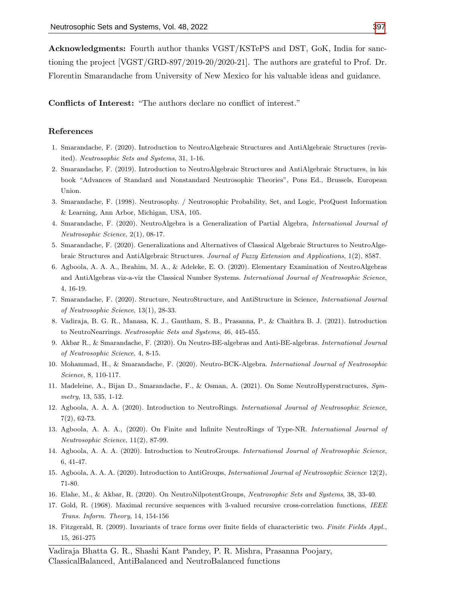Acknowledgments: Fourth author thanks VGST/KSTePS and DST, GoK, India for sanctioning the project [VGST/GRD-897/2019-20/2020-21]. The authors are grateful to Prof. Dr. Florentin Smarandache from University of New Mexico for his valuable ideas and guidance.

Conflicts of Interest: "The authors declare no conflict of interest."

#### References

- <span id="page-11-2"></span>1. Smarandache, F. (2020). Introduction to NeutroAlgebraic Structures and AntiAlgebraic Structures (revisited). Neutrosophic Sets and Systems, 31, 1-16.
- 2. Smarandache, F. (2019). Introduction to NeutroAlgebraic Structures and AntiAlgebraic Structures, in his book "Advances of Standard and Nonstandard Neutrosophic Theories", Pons Ed., Brussels, European Union.
- 3. Smarandache, F. (1998). Neutrosophy. / Neutrosophic Probability, Set, and Logic, ProQuest Information & Learning, Ann Arbor, Michigan, USA, 105.
- <span id="page-11-8"></span>4. Smarandache, F. (2020). NeutroAlgebra is a Generalization of Partial Algebra, International Journal of Neutrosophic Science, 2(1), 08-17.
- 5. Smarandache, F. (2020). Generalizations and Alternatives of Classical Algebraic Structures to NeutroAlgebraic Structures and AntiAlgebraic Structures. Journal of Fuzzy Extension and Applications, 1(2), 8587.
- 6. Agboola, A. A. A., Ibrahim, M. A., & Adeleke, E. O. (2020). Elementary Examination of NeutroAlgebras and AntiAlgebras viz-a-viz the Classical Number Systems. International Journal of Neutrosophic Science, 4, 16-19.
- <span id="page-11-3"></span>7. Smarandache, F. (2020). Structure, NeutroStructure, and AntiStructure in Science, International Journal of Neutrosophic Science, 13(1), 28-33.
- <span id="page-11-0"></span>8. Vadiraja, B. G. R., Manasa, K. J., Gautham, S. B., Prasanna, P., & Chaithra B. J. (2021). Introduction to NeutroNearrings. Neutrosophic Sets and Systems, 46, 445-455.
- 9. Akbar R., & Smarandache, F. (2020). On Neutro-BE-algebras and Anti-BE-algebras. International Journal of Neutrosophic Science, 4, 8-15.
- 10. Mohammad, H., & Smarandache, F. (2020). Neutro-BCK-Algebra. International Journal of Neutrosophic Science, 8, 110-117.
- <span id="page-11-1"></span>11. Madeleine, A., Bijan D., Smarandache, F., & Osman, A. (2021). On Some NeutroHyperstructures, Symmetry, 13, 535, 1-12.
- <span id="page-11-6"></span>12. Agboola, A. A. A. (2020). Introduction to NeutroRings. International Journal of Neutrosophic Science, 7(2), 62-73.
- <span id="page-11-7"></span>13. Agboola, A. A. A., (2020). On Finite and Infinite NeutroRings of Type-NR. International Journal of Neutrosophic Science, 11(2), 87-99.
- <span id="page-11-4"></span>14. Agboola, A. A. A. (2020). Introduction to NeutroGroups. International Journal of Neutrosophic Science, 6, 41-47.
- 15. Agboola, A. A. A. (2020). Introduction to AntiGroups, International Journal of Neutrosophic Science 12(2), 71-80.
- <span id="page-11-5"></span>16. Elahe, M., & Akbar, R. (2020). On NeutroNilpotentGroups, Neutrosophic Sets and Systems, 38, 33-40.
- <span id="page-11-9"></span>17. Gold, R. (1968). Maximal recursive sequences with 3-valued recursive cross-correlation functions, IEEE Trans. Inform. Theory, 14, 154-156
- 18. Fitzgerald, R. (2009). Invariants of trace forms over finite fields of characteristic two. Finite Fields Appl., 15, 261-275